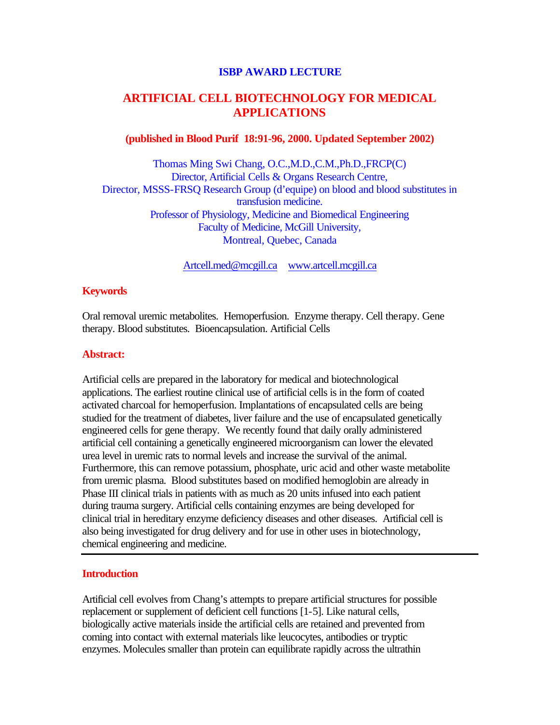#### **ISBP AWARD LECTURE**

# **ARTIFICIAL CELL BIOTECHNOLOGY FOR MEDICAL APPLICATIONS**

#### **(published in Blood Purif 18:91-96, 2000. Updated September 2002)**

Thomas Ming Swi Chang, O.C.,M.D.,C.M.,Ph.D.,FRCP(C) Director, Artificial Cells & Organs Research Centre, Director, MSSS-FRSQ Research Group (d'equipe) on blood and blood substitutes in transfusion medicine. Professor of Physiology, Medicine and Biomedical Engineering Faculty of Medicine, McGill University, Montreal, Quebec, Canada

Artcell.med@mcgill.ca www.artcell.mcgill.ca

## **Keywords**

Oral removal uremic metabolites. Hemoperfusion. Enzyme therapy. Cell therapy. Gene therapy. Blood substitutes. Bioencapsulation. Artificial Cells

## **Abstract:**

Artificial cells are prepared in the laboratory for medical and biotechnological applications. The earliest routine clinical use of artificial cells is in the form of coated activated charcoal for hemoperfusion. Implantations of encapsulated cells are being studied for the treatment of diabetes, liver failure and the use of encapsulated genetically engineered cells for gene therapy. We recently found that daily orally administered artificial cell containing a genetically engineered microorganism can lower the elevated urea level in uremic rats to normal levels and increase the survival of the animal. Furthermore, this can remove potassium, phosphate, uric acid and other waste metabolite from uremic plasma. Blood substitutes based on modified hemoglobin are already in Phase III clinical trials in patients with as much as 20 units infused into each patient during trauma surgery. Artificial cells containing enzymes are being developed for clinical trial in hereditary enzyme deficiency diseases and other diseases. Artificial cell is also being investigated for drug delivery and for use in other uses in biotechnology, chemical engineering and medicine.

# **Introduction**

Artificial cell evolves from Chang's attempts to prepare artificial structures for possible replacement or supplement of deficient cell functions [1-5]. Like natural cells, biologically active materials inside the artificial cells are retained and prevented from coming into contact with external materials like leucocytes, antibodies or tryptic enzymes. Molecules smaller than protein can equilibrate rapidly across the ultrathin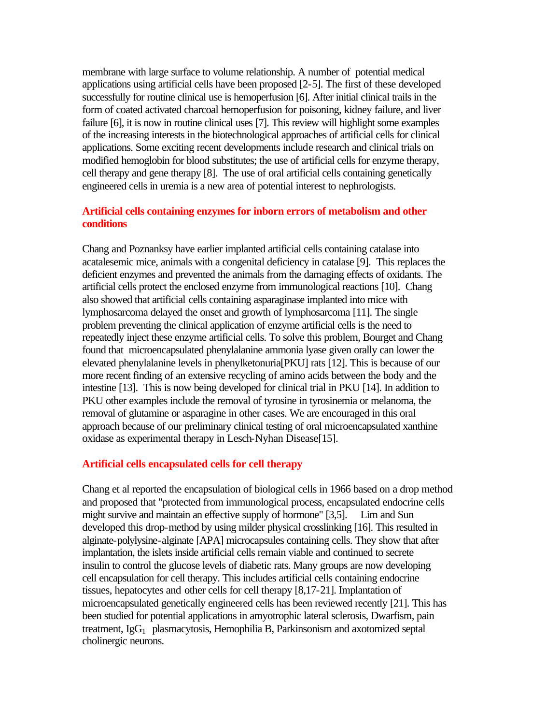membrane with large surface to volume relationship. A number of potential medical applications using artificial cells have been proposed [2-5]. The first of these developed successfully for routine clinical use is hemoperfusion [6]. After initial clinical trails in the form of coated activated charcoal hemoperfusion for poisoning, kidney failure, and liver failure [6], it is now in routine clinical uses [7]. This review will highlight some examples of the increasing interests in the biotechnological approaches of artificial cells for clinical applications. Some exciting recent developments include research and clinical trials on modified hemoglobin for blood substitutes; the use of artificial cells for enzyme therapy, cell therapy and gene therapy [8]. The use of oral artificial cells containing genetically engineered cells in uremia is a new area of potential interest to nephrologists.

# **Artificial cells containing enzymes for inborn errors of metabolism and other conditions**

Chang and Poznanksy have earlier implanted artificial cells containing catalase into acatalesemic mice, animals with a congenital deficiency in catalase [9]. This replaces the deficient enzymes and prevented the animals from the damaging effects of oxidants. The artificial cells protect the enclosed enzyme from immunological reactions [10]. Chang also showed that artificial cells containing asparaginase implanted into mice with lymphosarcoma delayed the onset and growth of lymphosarcoma [11]. The single problem preventing the clinical application of enzyme artificial cells is the need to repeatedly inject these enzyme artificial cells. To solve this problem, Bourget and Chang found that microencapsulated phenylalanine ammonia lyase given orally can lower the elevated phenylalanine levels in phenylketonuria[PKU] rats [12]. This is because of our more recent finding of an extensive recycling of amino acids between the body and the intestine [13]. This is now being developed for clinical trial in PKU [14]. In addition to PKU other examples include the removal of tyrosine in tyrosinemia or melanoma, the removal of glutamine or asparagine in other cases. We are encouraged in this oral approach because of our preliminary clinical testing of oral microencapsulated xanthine oxidase as experimental therapy in Lesch-Nyhan Disease[15].

#### **Artificial cells encapsulated cells for cell therapy**

Chang et al reported the encapsulation of biological cells in 1966 based on a drop method and proposed that "protected from immunological process, encapsulated endocrine cells might survive and maintain an effective supply of hormone" [3,5]. Lim and Sun developed this drop-method by using milder physical crosslinking [16]. This resulted in alginate-polylysine-alginate [APA] microcapsules containing cells. They show that after implantation, the islets inside artificial cells remain viable and continued to secrete insulin to control the glucose levels of diabetic rats. Many groups are now developing cell encapsulation for cell therapy. This includes artificial cells containing endocrine tissues, hepatocytes and other cells for cell therapy [8,17-21]. Implantation of microencapsulated genetically engineered cells has been reviewed recently [21]. This has been studied for potential applications in amyotrophic lateral sclerosis, Dwarfism, pain treatment,  $I_{\mathbb{E}}G_1$  plasmacytosis, Hemophilia B, Parkinsonism and axotomized septal cholinergic neurons.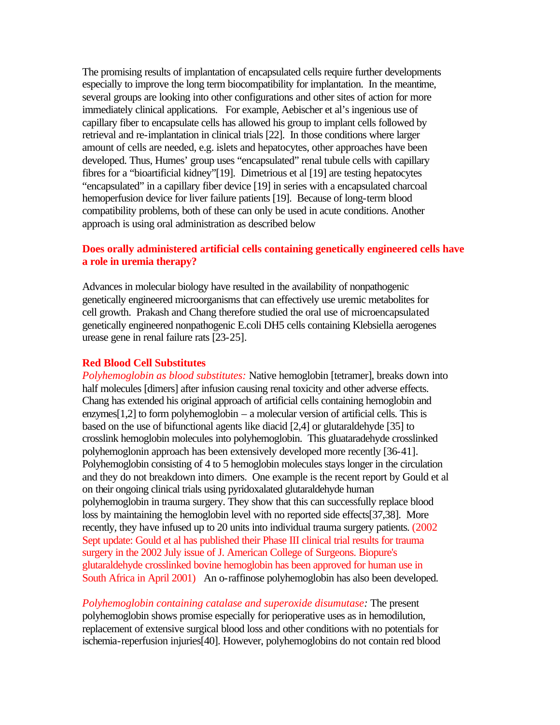The promising results of implantation of encapsulated cells require further developments especially to improve the long term biocompatibility for implantation. In the meantime, several groups are looking into other configurations and other sites of action for more immediately clinical applications. For example, Aebischer et al's ingenious use of capillary fiber to encapsulate cells has allowed his group to implant cells followed by retrieval and re-implantation in clinical trials [22]. In those conditions where larger amount of cells are needed, e.g. islets and hepatocytes, other approaches have been developed. Thus, Humes' group uses "encapsulated" renal tubule cells with capillary fibres for a "bioartificial kidney"[19]. Dimetrious et al [19] are testing hepatocytes "encapsulated" in a capillary fiber device [19] in series with a encapsulated charcoal hemoperfusion device for liver failure patients [19]. Because of long-term blood compatibility problems, both of these can only be used in acute conditions. Another approach is using oral administration as described below

# **Does orally administered artificial cells containing genetically engineered cells have a role in uremia therapy?**

Advances in molecular biology have resulted in the availability of nonpathogenic genetically engineered microorganisms that can effectively use uremic metabolites for cell growth. Prakash and Chang therefore studied the oral use of microencapsulated genetically engineered nonpathogenic E.coli DH5 cells containing Klebsiella aerogenes urease gene in renal failure rats [23-25].

#### **Red Blood Cell Substitutes**

*Polyhemoglobin as blood substitutes:* Native hemoglobin [tetramer], breaks down into half molecules [dimers] after infusion causing renal toxicity and other adverse effects. Chang has extended his original approach of artificial cells containing hemoglobin and enzymes[1,2] to form polyhemoglobin – a molecular version of artificial cells. This is based on the use of bifunctional agents like diacid [2,4] or glutaraldehyde [35] to crosslink hemoglobin molecules into polyhemoglobin. This gluataradehyde crosslinked polyhemoglonin approach has been extensively developed more recently [36-41]. Polyhemoglobin consisting of 4 to 5 hemoglobin molecules stays longer in the circulation and they do not breakdown into dimers. One example is the recent report by Gould et al on their ongoing clinical trials using pyridoxalated glutaraldehyde human polyhemoglobin in trauma surgery. They show that this can successfully replace blood loss by maintaining the hemoglobin level with no reported side effects[37,38]. More recently, they have infused up to 20 units into individual trauma surgery patients. (2002 Sept update: Gould et al has published their Phase III clinical trial results for trauma surgery in the 2002 July issue of J. American College of Surgeons. Biopure's glutaraldehyde crosslinked bovine hemoglobin has been approved for human use in South Africa in April 2001) An o-raffinose polyhemoglobin has also been developed.

*Polyhemoglobin containing catalase and superoxide disumutase:* The present polyhemoglobin shows promise especially for perioperative uses as in hemodilution, replacement of extensive surgical blood loss and other conditions with no potentials for ischemia-reperfusion injuries[40]. However, polyhemoglobins do not contain red blood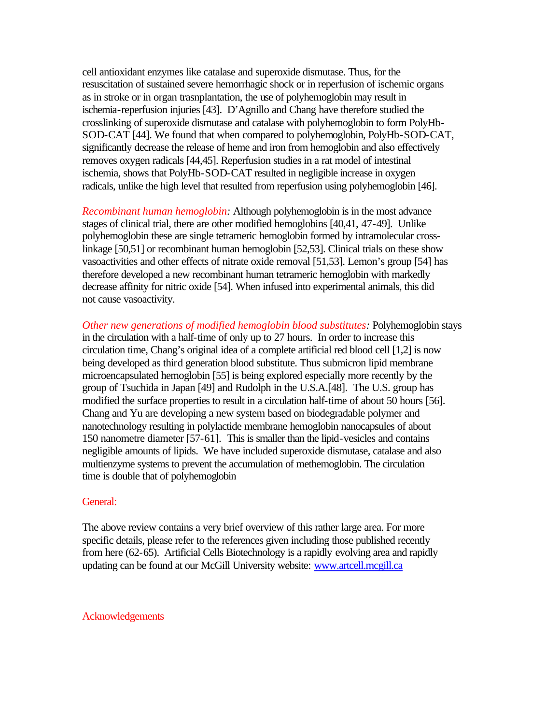cell antioxidant enzymes like catalase and superoxide dismutase. Thus, for the resuscitation of sustained severe hemorrhagic shock or in reperfusion of ischemic organs as in stroke or in organ trasnplantation, the use of polyhemoglobin may result in ischemia-reperfusion injuries [43]. D'Agnillo and Chang have therefore studied the crosslinking of superoxide dismutase and catalase with polyhemoglobin to form PolyHb-SOD-CAT [44]. We found that when compared to polyhemoglobin, PolyHb-SOD-CAT, significantly decrease the release of heme and iron from hemoglobin and also effectively removes oxygen radicals [44,45]. Reperfusion studies in a rat model of intestinal ischemia, shows that PolyHb-SOD-CAT resulted in negligible increase in oxygen radicals, unlike the high level that resulted from reperfusion using polyhemoglobin [46].

*Recombinant human hemoglobin:* Although polyhemoglobin is in the most advance stages of clinical trial, there are other modified hemoglobins [40,41, 47-49]. Unlike polyhemoglobin these are single tetrameric hemoglobin formed by intramolecular crosslinkage [50,51] or recombinant human hemoglobin [52,53]. Clinical trials on these show vasoactivities and other effects of nitrate oxide removal [51,53]. Lemon's group [54] has therefore developed a new recombinant human tetrameric hemoglobin with markedly decrease affinity for nitric oxide [54]. When infused into experimental animals, this did not cause vasoactivity.

*Other new generations of modified hemoglobin blood substitutes:* Polyhemoglobin stays in the circulation with a half-time of only up to 27 hours. In order to increase this circulation time, Chang's original idea of a complete artificial red blood cell [1,2] is now being developed as third generation blood substitute. Thus submicron lipid membrane microencapsulated hemoglobin [55] is being explored especially more recently by the group of Tsuchida in Japan [49] and Rudolph in the U.S.A.[48]. The U.S. group has modified the surface properties to result in a circulation half-time of about 50 hours [56]. Chang and Yu are developing a new system based on biodegradable polymer and nanotechnology resulting in polylactide membrane hemoglobin nanocapsules of about 150 nanometre diameter [57-61]. This is smaller than the lipid-vesicles and contains negligible amounts of lipids. We have included superoxide dismutase, catalase and also multienzyme systems to prevent the accumulation of methemoglobin. The circulation time is double that of polyhemoglobin

#### General:

The above review contains a very brief overview of this rather large area. For more specific details, please refer to the references given including those published recently from here (62-65). Artificial Cells Biotechnology is a rapidly evolving area and rapidly updating can be found at our McGill University website: www.artcell.mcgill.ca

#### Acknowledgements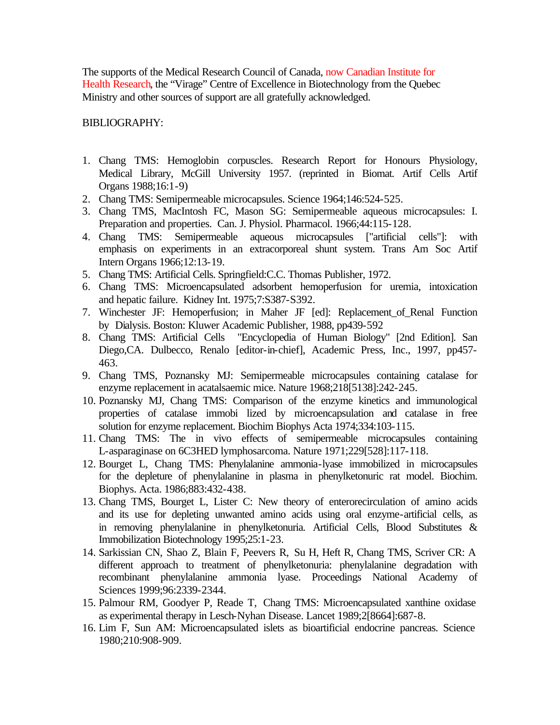The supports of the Medical Research Council of Canada, now Canadian Institute for Health Research, the "Virage" Centre of Excellence in Biotechnology from the Quebec Ministry and other sources of support are all gratefully acknowledged.

# BIBLIOGRAPHY:

- 1. Chang TMS: Hemoglobin corpuscles. Research Report for Honours Physiology, Medical Library, McGill University 1957. (reprinted in Biomat. Artif Cells Artif Organs 1988;16:1-9)
- 2. Chang TMS: Semipermeable microcapsules. Science 1964;146:524-525.
- 3. Chang TMS, MacIntosh FC, Mason SG: Semipermeable aqueous microcapsules: I. Preparation and properties. Can. J. Physiol. Pharmacol. 1966;44:115-128.
- 4. Chang TMS: Semipermeable aqueous microcapsules ["artificial cells"]: with emphasis on experiments in an extracorporeal shunt system. Trans Am Soc Artif Intern Organs 1966;12:13-19.
- 5. Chang TMS: Artificial Cells. Springfield:C.C. Thomas Publisher, 1972.
- 6. Chang TMS: Microencapsulated adsorbent hemoperfusion for uremia, intoxication and hepatic failure. Kidney Int. 1975;7:S387-S392.
- 7. Winchester JF: Hemoperfusion; in Maher JF [ed]: Replacement\_of\_Renal Function by Dialysis. Boston: Kluwer Academic Publisher, 1988, pp439-592
- 8. Chang TMS: Artificial Cells "Encyclopedia of Human Biology" [2nd Edition]. San Diego,CA. Dulbecco, Renalo [editor-in-chief], Academic Press, Inc., 1997, pp457- 463.
- 9. Chang TMS, Poznansky MJ: Semipermeable microcapsules containing catalase for enzyme replacement in acatalsaemic mice. Nature 1968;218[5138]:242-245.
- 10. Poznansky MJ, Chang TMS: Comparison of the enzyme kinetics and immunological properties of catalase immobi lized by microencapsulation and catalase in free solution for enzyme replacement. Biochim Biophys Acta 1974;334:103-115.
- 11. Chang TMS: The in vivo effects of semipermeable microcapsules containing L-asparaginase on 6C3HED lymphosarcoma. Nature 1971;229[528]:117-118.
- 12. Bourget L, Chang TMS: Phenylalanine ammonia-lyase immobilized in microcapsules for the depleture of phenylalanine in plasma in phenylketonuric rat model. Biochim. Biophys. Acta. 1986;883:432-438.
- 13. Chang TMS, Bourget L, Lister C: New theory of enterorecirculation of amino acids and its use for depleting unwanted amino acids using oral enzyme-artificial cells, as in removing phenylalanine in phenylketonuria. Artificial Cells, Blood Substitutes & Immobilization Biotechnology 1995;25:1-23.
- 14. Sarkissian CN, Shao Z, Blain F, Peevers R, Su H, Heft R, Chang TMS, Scriver CR: A different approach to treatment of phenylketonuria: phenylalanine degradation with recombinant phenylalanine ammonia lyase. Proceedings National Academy of Sciences 1999;96:2339-2344.
- 15. Palmour RM, Goodyer P, Reade T, Chang TMS: Microencapsulated xanthine oxidase as experimental therapy in Lesch-Nyhan Disease. Lancet 1989;2[8664]:687-8.
- 16. Lim F, Sun AM: Microencapsulated islets as bioartificial endocrine pancreas. Science 1980;210:908-909.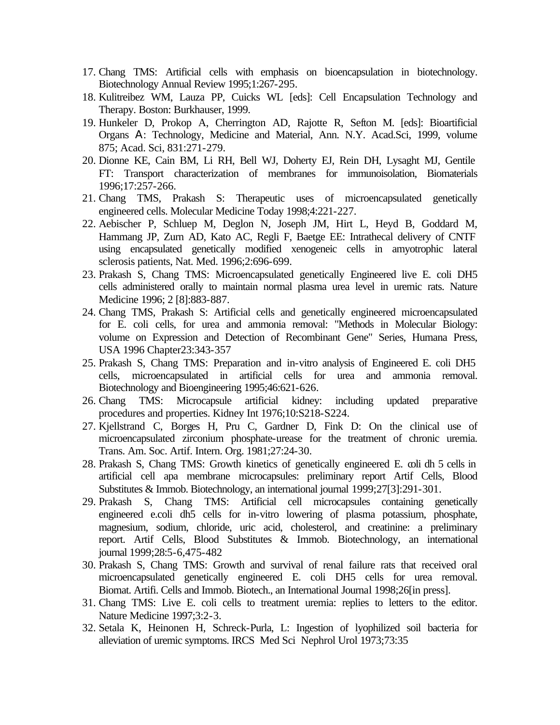- 17. Chang TMS: Artificial cells with emphasis on bioencapsulation in biotechnology. Biotechnology Annual Review 1995;1:267-295.
- 18. Kulitreibez WM, Lauza PP, Cuicks WL [eds]: Cell Encapsulation Technology and Therapy. Boston: Burkhauser, 1999.
- 19. Hunkeler D, Prokop A, Cherrington AD, Rajotte R, Sefton M. [eds]: Bioartificial Organs A: Technology, Medicine and Material, Ann. N.Y. Acad.Sci, 1999, volume 875; Acad. Sci, 831:271-279.
- 20. Dionne KE, Cain BM, Li RH, Bell WJ, Doherty EJ, Rein DH, Lysaght MJ, Gentile FT: Transport characterization of membranes for immunoisolation, Biomaterials 1996;17:257-266.
- 21. Chang TMS, Prakash S: Therapeutic uses of microencapsulated genetically engineered cells. Molecular Medicine Today 1998;4:221-227.
- 22. Aebischer P, Schluep M, Deglon N, Joseph JM, Hirt L, Heyd B, Goddard M, Hammang JP, Zurn AD, Kato AC, Regli F, Baetge EE: Intrathecal delivery of CNTF using encapsulated genetically modified xenogeneic cells in amyotrophic lateral sclerosis patients, Nat. Med. 1996;2:696-699.
- 23. Prakash S, Chang TMS: Microencapsulated genetically Engineered live E. coli DH5 cells administered orally to maintain normal plasma urea level in uremic rats. Nature Medicine 1996; 2 [8]:883-887.
- 24. Chang TMS, Prakash S: Artificial cells and genetically engineered microencapsulated for E. coli cells, for urea and ammonia removal: "Methods in Molecular Biology: volume on Expression and Detection of Recombinant Gene" Series, Humana Press, USA 1996 Chapter23:343-357
- 25. Prakash S, Chang TMS: Preparation and in-vitro analysis of Engineered E. coli DH5 cells, microencapsulated in artificial cells for urea and ammonia removal. Biotechnology and Bioengineering 1995;46:621-626.
- 26. Chang TMS: Microcapsule artificial kidney: including updated preparative procedures and properties. Kidney Int 1976;10:S218-S224.
- 27. Kjellstrand C, Borges H, Pru C, Gardner D, Fink D: On the clinical use of microencapsulated zirconium phosphate-urease for the treatment of chronic uremia. Trans. Am. Soc. Artif. Intern. Org. 1981;27:24-30.
- 28. Prakash S, Chang TMS: Growth kinetics of genetically engineered E. coli dh 5 cells in artificial cell apa membrane microcapsules: preliminary report Artif Cells, Blood Substitutes & Immob. Biotechnology, an international journal 1999;27[3]:291-301.
- 29. Prakash S, Chang TMS: Artificial cell microcapsules containing genetically engineered e.coli dh5 cells for in-vitro lowering of plasma potassium, phosphate, magnesium, sodium, chloride, uric acid, cholesterol, and creatinine: a preliminary report. Artif Cells, Blood Substitutes & Immob. Biotechnology, an international journal 1999;28:5-6,475-482
- 30. Prakash S, Chang TMS: Growth and survival of renal failure rats that received oral microencapsulated genetically engineered E. coli DH5 cells for urea removal. Biomat. Artifi. Cells and Immob. Biotech., an International Journal 1998;26[in press].
- 31. Chang TMS: Live E. coli cells to treatment uremia: replies to letters to the editor. Nature Medicine 1997;3:2-3.
- 32. Setala K, Heinonen H, Schreck-Purla, L: Ingestion of lyophilized soil bacteria for alleviation of uremic symptoms. IRCS Med Sci Nephrol Urol 1973;73:35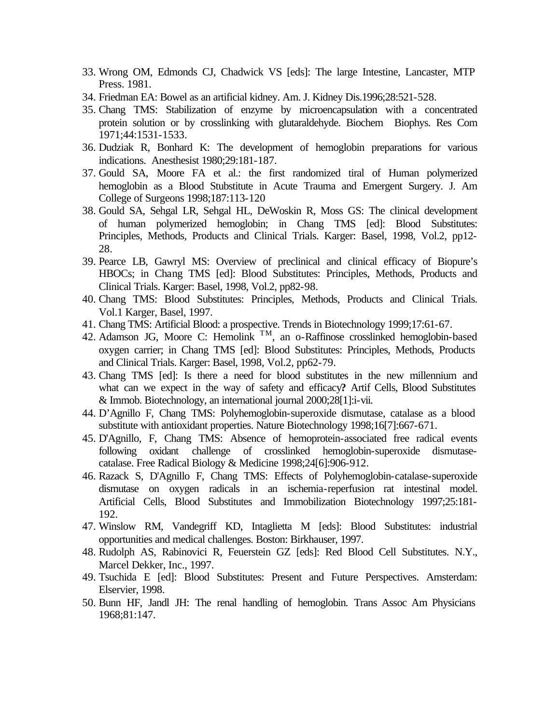- 33. Wrong OM, Edmonds CJ, Chadwick VS [eds]: The large Intestine, Lancaster, MTP Press. 1981.
- 34. Friedman EA: Bowel as an artificial kidney. Am. J. Kidney Dis.1996;28:521-528.
- 35. Chang TMS: Stabilization of enzyme by microencapsulation with a concentrated protein solution or by crosslinking with glutaraldehyde. Biochem Biophys. Res Com 1971;44:1531-1533.
- 36. Dudziak R, Bonhard K: The development of hemoglobin preparations for various indications. Anesthesist 1980;29:181-187.
- 37. Gould SA, Moore FA et al.: the first randomized tiral of Human polymerized hemoglobin as a Blood Stubstitute in Acute Trauma and Emergent Surgery. J. Am College of Surgeons 1998;187:113-120
- 38. Gould SA, Sehgal LR, Sehgal HL, DeWoskin R, Moss GS: The clinical development of human polymerized hemoglobin; in Chang TMS [ed]: Blood Substitutes: Principles, Methods, Products and Clinical Trials. Karger: Basel, 1998, Vol.2, pp12- 28.
- 39. Pearce LB, Gawryl MS: Overview of preclinical and clinical efficacy of Biopure's HBOCs; in Chang TMS [ed]: Blood Substitutes: Principles, Methods, Products and Clinical Trials. Karger: Basel, 1998, Vol.2, pp82-98.
- 40. Chang TMS: Blood Substitutes: Principles, Methods, Products and Clinical Trials. Vol.1 Karger, Basel, 1997.
- 41. Chang TMS: Artificial Blood: a prospective. Trends in Biotechnology 1999;17:61-67.
- 42. Adamson JG, Moore C: Hemolink <sup>TM</sup>, an o-Raffinose crosslinked hemoglobin-based oxygen carrier; in Chang TMS [ed]: Blood Substitutes: Principles, Methods, Products and Clinical Trials. Karger: Basel, 1998, Vol.2, pp62-79.
- 43. Chang TMS [ed]: Is there a need for blood substitutes in the new millennium and what can we expect in the way of safety and efficacy**?** Artif Cells, Blood Substitutes & Immob. Biotechnology, an international journal 2000;28[1]:i-vii.
- 44. D'Agnillo F, Chang TMS: Polyhemoglobin-superoxide dismutase, catalase as a blood substitute with antioxidant properties. Nature Biotechnology 1998;16[7]:667-671.
- 45. D'Agnillo, F, Chang TMS: Absence of hemoprotein-associated free radical events following oxidant challenge of crosslinked hemoglobin-superoxide dismutasecatalase. Free Radical Biology & Medicine 1998;24[6]:906-912.
- 46. Razack S, D'Agnillo F, Chang TMS: Effects of Polyhemoglobin-catalase-superoxide dismutase on oxygen radicals in an ischemia-reperfusion rat intestinal model. Artificial Cells, Blood Substitutes and Immobilization Biotechnology 1997;25:181- 192.
- 47. Winslow RM, Vandegriff KD, Intaglietta M [eds]: Blood Substitutes: industrial opportunities and medical challenges. Boston: Birkhauser, 1997.
- 48. Rudolph AS, Rabinovici R, Feuerstein GZ [eds]: Red Blood Cell Substitutes. N.Y., Marcel Dekker, Inc., 1997.
- 49. Tsuchida E [ed]: Blood Substitutes: Present and Future Perspectives. Amsterdam: Elservier, 1998.
- 50. Bunn HF, Jandl JH: The renal handling of hemoglobin. Trans Assoc Am Physicians 1968;81:147.